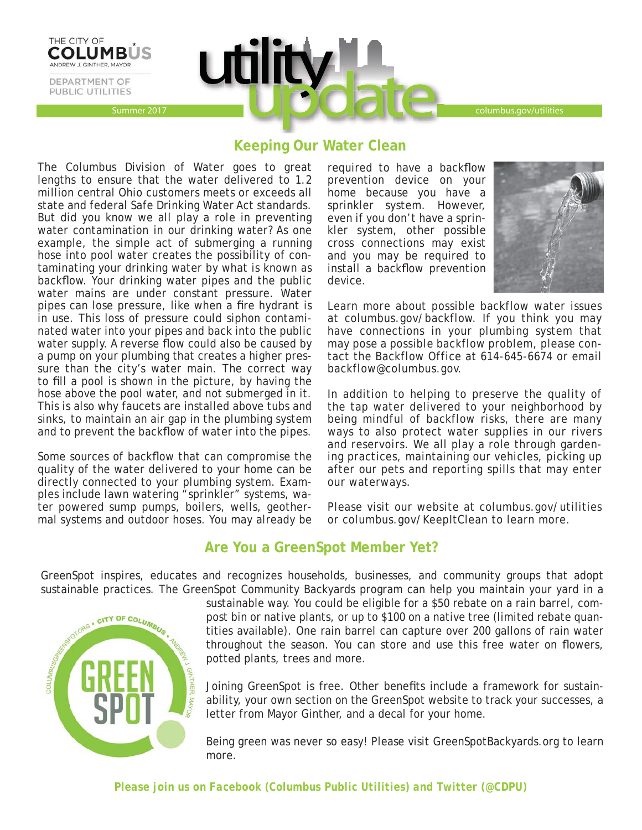Summer 2017 columbus.gov/utilities columbus.gov/utilities

# **Keeping Our Water Clean**

**util** 

The Columbus Division of Water goes to great lengths to ensure that the water delivered to 1.2 million central Ohio customers meets or exceeds all state and federal Safe Drinking Water Act standards. But did you know we all play a role in preventing water contamination in our drinking water? As one example, the simple act of submerging a running hose into pool water creates the possibility of contaminating your drinking water by what is known as backflow. Your drinking water pipes and the public water mains are under constant pressure. Water pipes can lose pressure, like when a fire hydrant is in use. This loss of pressure could siphon contaminated water into your pipes and back into the public water supply. A reverse flow could also be caused by a pump on your plumbing that creates a higher pressure than the city's water main. The correct way to fill a pool is shown in the picture, by having the hose above the pool water, and not submerged in it. This is also why faucets are installed above tubs and sinks, to maintain an air gap in the plumbing system and to prevent the backflow of water into the pipes.

THE CITY OF **COLUMB** 

ANDREW J. GINTHER, MAYOR DEPARTMENT OF PUBLIC UTILITIES

Some sources of backflow that can compromise the quality of the water delivered to your home can be directly connected to your plumbing system. Examples include lawn watering "sprinkler" systems, water powered sump pumps, boilers, wells, geothermal systems and outdoor hoses. You may already be required to have a backflow prevention device on your home because you have a sprinkler system. However, even if you don't have a sprinkler system, other possible cross connections may exist and you may be required to install a backflow prevention device.



Learn more about possible backflow water issues at columbus.gov/backflow. If you think you may have connections in your plumbing system that may pose a possible backflow problem, please contact the Backflow Office at 614-645-6674 or email backflow@columbus.gov.

In addition to helping to preserve the quality of the tap water delivered to your neighborhood by being mindful of backflow risks, there are many ways to also protect water supplies in our rivers and reservoirs. We all play a role through gardening practices, maintaining our vehicles, picking up after our pets and reporting spills that may enter our waterways.

Please visit our website at columbus.gov/utilities or columbus.gov/KeepItClean to learn more.

# **Are You a GreenSpot Member Yet?**

GreenSpot inspires, educates and recognizes households, businesses, and community groups that adopt sustainable practices. The GreenSpot Community Backyards program can help you maintain your yard in a



sustainable way. You could be eligible for a \$50 rebate on a rain barrel, compost bin or native plants, or up to \$100 on a native tree (limited rebate quantities available). One rain barrel can capture over 200 gallons of rain water throughout the season. You can store and use this free water on flowers, potted plants, trees and more.

Joining GreenSpot is free. Other benefits include a framework for sustainability, your own section on the GreenSpot website to track your successes, a letter from Mayor Ginther, and a decal for your home.

Being green was never so easy! Please visit GreenSpotBackyards.org to learn more.